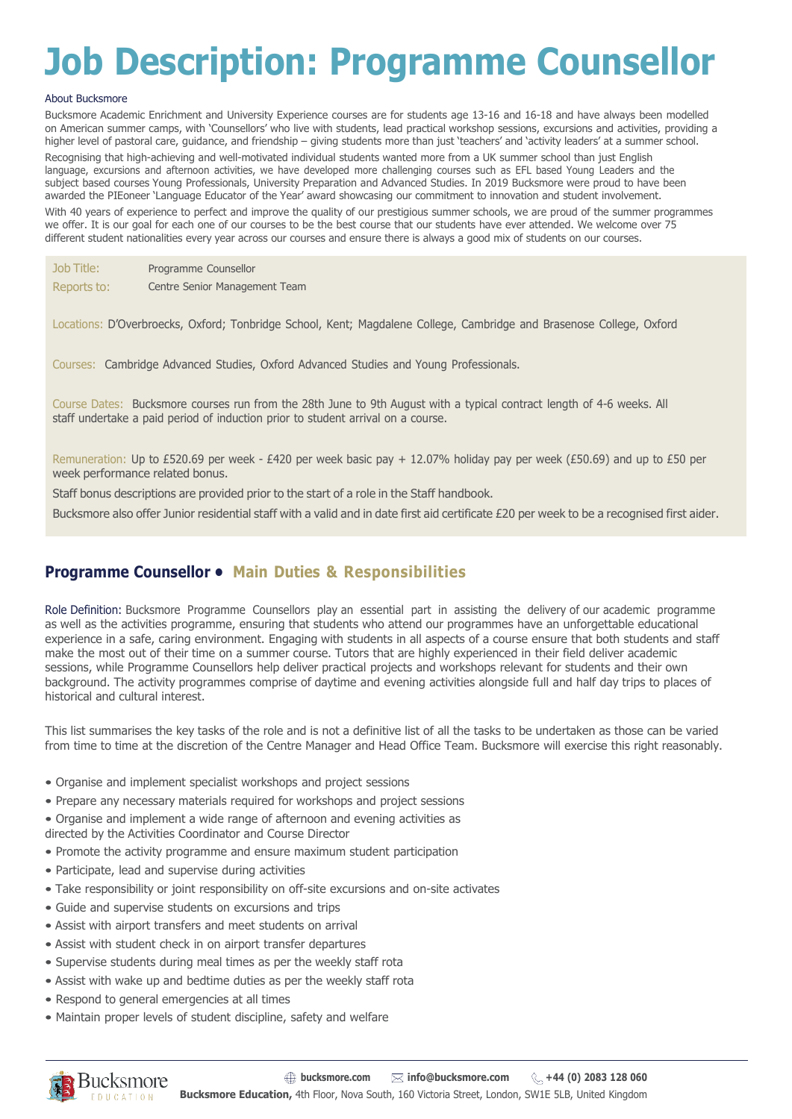# **Job Description: Programme Counsellor**

### About Bucksmore

Bucksmore Academic Enrichment and University Experience courses are for students age 13-16 and 16-18 and have always been modelled on American summer camps, with 'Counsellors' who live with students, lead practical workshop sessions, excursions and activities, providing a higher level of pastoral care, guidance, and friendship – giving students more than just 'teachers' and 'activity leaders' at a summer school. Recognising that high-achieving and well-motivated individual students wanted more from a UK summer school than just English language, excursions and afternoon activities, we have developed more challenging courses such as EFL based Young Leaders and the subject based courses Young Professionals, University Preparation and Advanced Studies. In 2019 Bucksmore were proud to have been awarded the PIEoneer 'Language Educator of the Year' award showcasing our commitment to innovation and student involvement.

With 40 years of experience to perfect and improve the quality of our prestigious summer schools, we are proud of the summer programmes we offer. It is our goal for each one of our courses to be the best course that our students have ever attended. We welcome over 75 different student nationalities every year across our courses and ensure there is always a good mix of students on our courses.

| Job Title:  | Programme Counsellor          |
|-------------|-------------------------------|
| Reports to: | Centre Senior Management Team |

Locations: D'Overbroecks, Oxford; Tonbridge School, Kent; Magdalene College, Cambridge and Brasenose College, Oxford

Courses: Cambridge Advanced Studies, Oxford Advanced Studies and Young Professionals.

Course Dates: Bucksmore courses run from the 28th June to 9th August with a typical contract length of 4-6 weeks. All staff undertake a paid period of induction prior to student arrival on a course.

Remuneration: Up to £520.69 per week - £420 per week basic pay + 12.07% holiday pay per week (£50.69) and up to £50 per week performance related bonus.

Staff bonus descriptions are provided prior to the start of a role in the Staff handbook.

Bucksmore also offer Junior residential staff with a valid and in date first aid certificate £20 per week to be a recognised first aider.

# **Programme Counsellor • Main Duties & Responsibilities**

Role Definition: Bucksmore Programme Counsellors play an essential part in assisting the delivery of our academic programme as well as the activities programme, ensuring that students who attend our programmes have an unforgettable educational experience in a safe, caring environment. Engaging with students in all aspects of a course ensure that both students and staff make the most out of their time on a summer course. Tutors that are highly experienced in their field deliver academic sessions, while Programme Counsellors help deliver practical projects and workshops relevant for students and their own background. The activity programmes comprise of daytime and evening activities alongside full and half day trips to places of historical and cultural interest.

This list summarises the key tasks of the role and is not a definitive list of all the tasks to be undertaken as those can be varied from time to time at the discretion of the Centre Manager and Head Office Team. Bucksmore will exercise this right reasonably.

- Organise and implement specialist workshops and project sessions
- Prepare any necessary materials required for workshops and project sessions
- Organise and implement a wide range of afternoon and evening activities as
- directed by the Activities Coordinator and Course Director
- Promote the activity programme and ensure maximum student participation
- Participate, lead and supervise during activities
- Take responsibility or joint responsibility on off-site excursions and on-site activates
- Guide and supervise students on excursions and trips
- Assist with airport transfers and meet students on arrival
- Assist with student check in on airport transfer departures
- Supervise students during meal times as per the weekly staff rota
- Assist with wake up and bedtime duties as per the weekly staff rota
- Respond to general emergencies at all times
- Maintain proper levels of student discipline, safety and welfare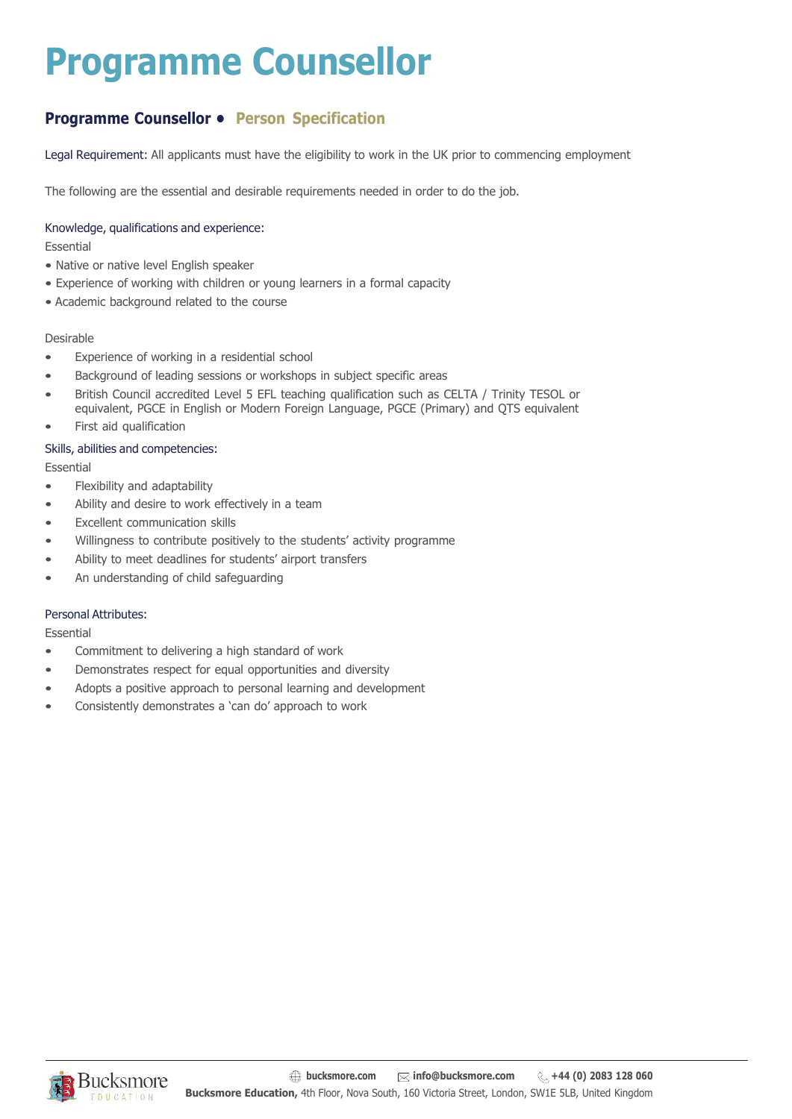# **Programme Counsellor**

# **Programme Counsellor • Person Specification**

Legal Requirement: All applicants must have the eligibility to work in the UK prior to commencing employment

The following are the essential and desirable requirements needed in order to do the job.

## Knowledge, qualifications and experience:

Essential

- Native or native level English speaker
- Experience of working with children or young learners in a formal capacity
- Academic background related to the course

## Desirable

- Experience of working in a residential school
- Background of leading sessions or workshops in subject specific areas
- British Council accredited Level 5 EFL teaching qualification such as CELTA / Trinity TESOL or equivalent, PGCE in English or Modern Foreign Language, PGCE (Primary) and QTS equivalent
- First aid qualification

## Skills, abilities and competencies:

Essential

- Flexibility and adaptability
- Ability and desire to work effectively in a team
- **Excellent communication skills**
- Willingness to contribute positively to the students' activity programme
- Ability to meet deadlines for students' airport transfers
- An understanding of child safeguarding

## Personal Attributes:

Essential

- Commitment to delivering a high standard of work
- Demonstrates respect for equal opportunities and diversity
- Adopts a positive approach to personal learning and development
- Consistently demonstrates a 'can do' approach to work